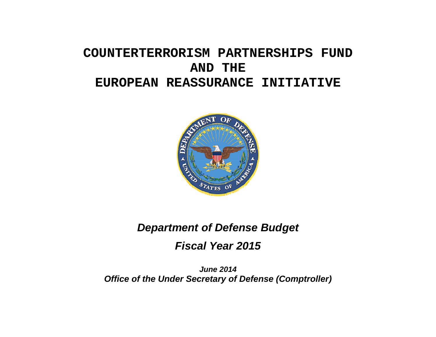# **COUNTERTERRORISM PARTNERSHIPS FUND AND THE EUROPEAN REASSURANCE INITIATIVE**



# *Department of Defense Budget*

*Fiscal Year 2015* 

*June 2014 Office of the Under Secretary of Defense (Comptroller)*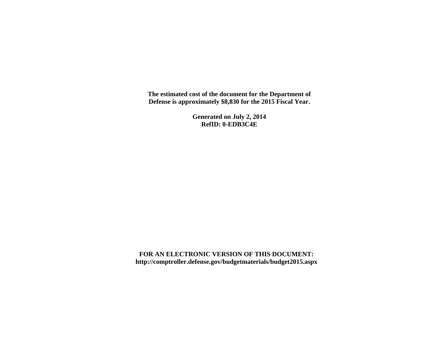**The estimated cost of the document for the Department of Defense is approximately \$8,830 for the 2015 Fiscal Year.** 

> **Generated on July 2, 2014 RefID: 0-EDB3C4E**

**FOR AN ELECTRONIC VERSION OF THIS DOCUMENT: http://comptroller.defense.gov/budgetmaterials/budget2015.aspx**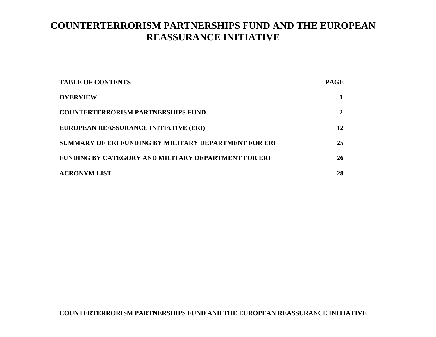# **COUNTERTERRORISM PARTNERSHIPS FUND AND THE EUROPEAN REASSURANCE INITIATIVE**

| <b>TABLE OF CONTENTS</b>                              | <b>PAGE</b> |
|-------------------------------------------------------|-------------|
| <b>OVERVIEW</b>                                       |             |
| <b>COUNTERTERRORISM PARTNERSHIPS FUND</b>             |             |
| EUROPEAN REASSURANCE INITIATIVE (ERI)                 | 12          |
| SUMMARY OF ERI FUNDING BY MILITARY DEPARTMENT FOR ERI | 25          |
| FUNDING BY CATEGORY AND MILITARY DEPARTMENT FOR ERI   | 26          |
| <b>ACRONYM LIST</b>                                   | 28          |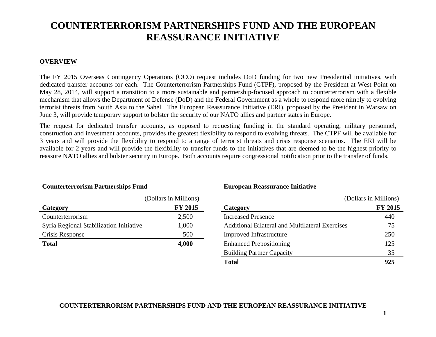# **COUNTERTERRORISM PARTNERSHIPS FUND AND THE EUROPEAN REASSURANCE INITIATIVE**

# **OVERVIEW**

The FY 2015 Overseas Contingency Operations (OCO) request includes DoD funding for two new Presidential initiatives, with dedicated transfer accounts for each. The Counterterrorism Partnerships Fund (CTPF), proposed by the President at West Point on May 28, 2014, will support a transition to a more sustainable and partnership-focused approach to counterterrorism with a flexible mechanism that allows the Department of Defense (DoD) and the Federal Government as a whole to respond more nimbly to evolving terrorist threats from South Asia to the Sahel. The European Reassurance Initiative (ERI), proposed by the President in Warsaw on June 3, will provide temporary support to bolster the security of our NATO allies and partner states in Europe.

The request for dedicated transfer accounts, as opposed to requesting funding in the standard operating, military personnel, construction and investment accounts, provides the greatest flexibility to respond to evolving threats. The CTPF will be available for 3 years and will provide the flexibility to respond to a range of terrorist threats and crisis response scenarios. The ERI will be available for 2 years and will provide the flexibility to transfer funds to the initiatives that are deemed to be the highest priority to reassure NATO allies and bolster security in Europe. Both accounts require congressional notification prior to the transfer of funds.

|                                         | (Dollars in Millions) |
|-----------------------------------------|-----------------------|
| Category                                | <b>FY 2015</b>        |
| Counterterrorism                        | 2,500                 |
| Syria Regional Stabilization Initiative | 1,000                 |
| Crisis Response                         | 500                   |
| <b>Total</b>                            | 4,000                 |

# **Counterterrorism Partnerships Fund European Reassurance Initiative**

|                                         | (Dollars in Millions) |                                                        | (Dollars in Millions) |
|-----------------------------------------|-----------------------|--------------------------------------------------------|-----------------------|
| Category                                | <b>FY 2015</b>        | Category                                               | <b>FY 2015</b>        |
| Counterterrorism                        | 2,500                 | <b>Increased Presence</b>                              | 440                   |
| Syria Regional Stabilization Initiative | 1,000                 | <b>Additional Bilateral and Multilateral Exercises</b> | 75                    |
| Crisis Response                         | 500                   | <b>Improved Infrastructure</b>                         | 250                   |
| Total                                   | 4,000                 | <b>Enhanced Prepositioning</b>                         | 125                   |
|                                         |                       | <b>Building Partner Capacity</b>                       | 35                    |
|                                         |                       | <b>Total</b>                                           | 925                   |

**COUNTERTERRORISM PARTNERSHIPS FUND AND THE EUROPEAN REASSURANCE INITIATIVE**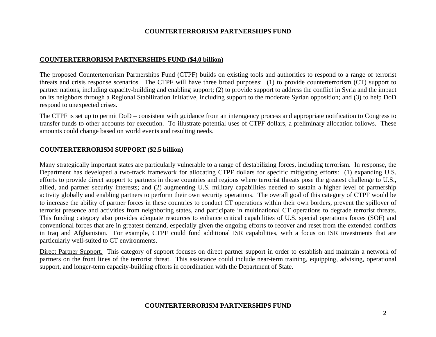#### **COUNTERTERRORISM PARTNERSHIPS FUND (\$4.0 billion)**

The proposed Counterterrorism Partnerships Fund (CTPF) builds on existing tools and authorities to respond to a range of terrorist threats and crisis response scenarios. The CTPF will have three broad purposes: (1) to provide counterterrorism (CT) support to partner nations, including capacity-building and enabling support; (2) to provide support to address the conflict in Syria and the impact on its neighbors through a Regional Stabilization Initiative, including support to the moderate Syrian opposition; and (3) to help DoD respond to unexpected crises.

The CTPF is set up to permit DoD – consistent with guidance from an interagency process and appropriate notification to Congress to transfer funds to other accounts for execution. To illustrate potential uses of CTPF dollars, a preliminary allocation follows. These amounts could change based on world events and resulting needs.

#### **COUNTERTERRORISM SUPPORT (\$2.5 billion)**

Many strategically important states are particularly vulnerable to a range of destabilizing forces, including terrorism. In response, the Department has developed a two-track framework for allocating CTPF dollars for specific mitigating efforts: (1) expanding U.S. efforts to provide direct support to partners in those countries and regions where terrorist threats pose the greatest challenge to U.S., allied, and partner security interests; and (2) augmenting U.S. military capabilities needed to sustain a higher level of partnership activity globally and enabling partners to perform their own security operations. The overall goal of this category of CTPF would be to increase the ability of partner forces in these countries to conduct CT operations within their own borders, prevent the spillover of terrorist presence and activities from neighboring states, and participate in multinational CT operations to degrade terrorist threats. This funding category also provides adequate resources to enhance critical capabilities of U.S. special operations forces (SOF) and conventional forces that are in greatest demand, especially given the ongoing efforts to recover and reset from the extended conflicts in Iraq and Afghanistan. For example, CTPF could fund additional ISR capabilities, with a focus on ISR investments that are particularly well-suited to CT environments.

Direct Partner Support. This category of support focuses on direct partner support in order to establish and maintain a network of partners on the front lines of the terrorist threat. This assistance could include near-term training, equipping, advising, operational support, and longer-term capacity-building efforts in coordination with the Department of State.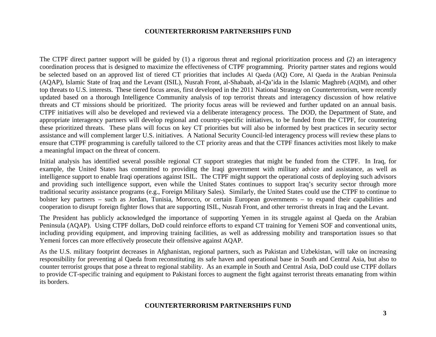The CTPF direct partner support will be guided by (1) a rigorous threat and regional prioritization process and (2) an interagency coordination process that is designed to maximize the effectiveness of CTPF programming. Priority partner states and regions would be selected based on an approved list of tiered CT priorities that includes Al Qaeda (AQ) Core, Al Qaeda in the Arabian Peninsula (AQAP), Islamic State of Iraq and the Levant (ISIL), Nusrah Front, al-Shabaab, al-Qa'ida in the Islamic Maghreb (AQIM), and other top threats to U.S. interests. These tiered focus areas, first developed in the 2011 National Strategy on Counterterrorism, were recently updated based on a thorough Intelligence Community analysis of top terrorist threats and interagency discussion of how relative threats and CT missions should be prioritized. The priority focus areas will be reviewed and further updated on an annual basis. CTPF initiatives will also be developed and reviewed via a deliberate interagency process. The DOD, the Department of State, and appropriate interagency partners will develop regional and country-specific initiatives, to be funded from the CTPF, for countering these prioritized threats. These plans will focus on key CT priorities but will also be informed by best practices in security sector assistance and will complement larger U.S. initiatives. A National Security Council-led interagency process will review these plans to ensure that CTPF programming is carefully tailored to the CT priority areas and that the CTPF finances activities most likely to make a meaningful impact on the threat of concern.

Initial analysis has identified several possible regional CT support strategies that might be funded from the CTPF. In Iraq, for example, the United States has committed to providing the Iraqi government with military advice and assistance, as well as intelligence support to enable Iraqi operations against ISIL. The CTPF might support the operational costs of deploying such advisors and providing such intelligence support, even while the United States continues to support Iraq's security sector through more traditional security assistance programs (e.g., Foreign Military Sales). Similarly, the United States could use the CTPF to continue to bolster key partners – such as Jordan, Tunisia, Morocco, or certain European governments – to expand their capabilities and cooperation to disrupt foreign fighter flows that are supporting ISIL, Nusrah Front, and other terrorist threats in Iraq and the Levant.

The President has publicly acknowledged the importance of supporting Yemen in its struggle against al Qaeda on the Arabian Peninsula (AQAP). Using CTPF dollars, DoD could reinforce efforts to expand CT training for Yemeni SOF and conventional units, including providing equipment, and improving training facilities, as well as addressing mobility and transportation issues so that Yemeni forces can more effectively prosecute their offensive against AQAP.

As the U.S. military footprint decreases in Afghanistan, regional partners, such as Pakistan and Uzbekistan, will take on increasing responsibility for preventing al Qaeda from reconstituting its safe haven and operational base in South and Central Asia, but also to counter terrorist groups that pose a threat to regional stability. As an example in South and Central Asia, DoD could use CTPF dollars to provide CT-specific training and equipment to Pakistani forces to augment the fight against terrorist threats emanating from within its borders.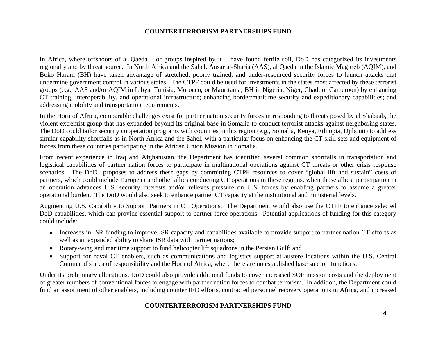In Africa, where offshoots of al Qaeda – or groups inspired by it – have found fertile soil, DoD has categorized its investments regionally and by threat source. In North Africa and the Sahel, Ansar al-Sharia (AAS), al Qaeda in the Islamic Maghreb (AQIM), and Boko Haram (BH) have taken advantage of stretched, poorly trained, and under-resourced security forces to launch attacks that undermine government control in various states. The CTPF could be used for investments in the states most affected by these terrorist groups (e.g., AAS and/or AQIM in Libya, Tunisia, Morocco, or Mauritania; BH in Nigeria, Niger, Chad, or Cameroon) by enhancing CT training, interoperability, and operational infrastructure; enhancing border/maritime security and expeditionary capabilities; and addressing mobility and transportation requirements.

In the Horn of Africa, comparable challenges exist for partner nation security forces in responding to threats posed by al Shabaab, the violent extremist group that has expanded beyond its original base in Somalia to conduct terrorist attacks against neighboring states. The DoD could tailor security cooperation programs with countries in this region (e.g., Somalia, Kenya, Ethiopia, Djibouti) to address similar capability shortfalls as in North Africa and the Sahel, with a particular focus on enhancing the CT skill sets and equipment of forces from these countries participating in the African Union Mission in Somalia.

From recent experience in Iraq and Afghanistan, the Department has identified several common shortfalls in transportation and logistical capabilities of partner nation forces to participate in multinational operations against CT threats or other crisis response scenarios. The DoD proposes to address these gaps by committing CTPF resources to cover "global lift and sustain" costs of partners, which could include European and other allies conducting CT operations in these regions, when those allies' participation in an operation advances U.S. security interests and/or relieves pressure on U.S. forces by enabling partners to assume a greater operational burden. The DoD would also seek to enhance partner CT capacity at the institutional and ministerial levels.

Augmenting U.S. Capability to Support Partners in CT Operations. The Department would also use the CTPF to enhance selected DoD capabilities, which can provide essential support to partner force operations. Potential applications of funding for this category could include:

- Increases in ISR funding to improve ISR capacity and capabilities available to provide support to partner nation CT efforts as well as an expanded ability to share ISR data with partner nations;
- Rotary-wing and maritime support to fund helicopter lift squadrons in the Persian Gulf; and
- Support for naval CT enablers, such as communications and logistics support at austere locations within the U.S. Central Command's area of responsibility and the Horn of Africa, where there are no established base support functions.

Under its preliminary allocations, DoD could also provide additional funds to cover increased SOF mission costs and the deployment of greater numbers of conventional forces to engage with partner nation forces to combat terrorism. In addition, the Department could fund an assortment of other enablers, including counter IED efforts, contracted personnel recovery operations in Africa, and increased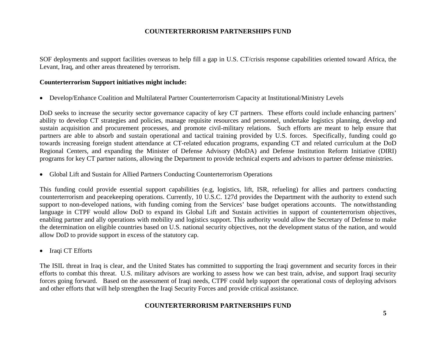SOF deployments and support facilities overseas to help fill a gap in U.S. CT/crisis response capabilities oriented toward Africa, the Levant, Iraq, and other areas threatened by terrorism.

### **Counterterrorism Support initiatives might include:**

Develop/Enhance Coalition and Multilateral Partner Counterterrorism Capacity at Institutional/Ministry Levels

DoD seeks to increase the security sector governance capacity of key CT partners. These efforts could include enhancing partners' ability to develop CT strategies and policies, manage requisite resources and personnel, undertake logistics planning, develop and sustain acquisition and procurement processes, and promote civil-military relations. Such efforts are meant to help ensure that partners are able to absorb and sustain operational and tactical training provided by U.S. forces. Specifically, funding could go towards increasing foreign student attendance at CT-related education programs, expanding CT and related curriculum at the DoD Regional Centers, and expanding the Minister of Defense Advisory (MoDA) and Defense Institution Reform Initiative (DIRI) programs for key CT partner nations, allowing the Department to provide technical experts and advisors to partner defense ministries.

Global Lift and Sustain for Allied Partners Conducting Counterterrorism Operations

This funding could provide essential support capabilities (e.g, logistics, lift, ISR, refueling) for allies and partners conducting counterterrorism and peacekeeping operations. Currently, 10 U.S.C. 127d provides the Department with the authority to extend such support to non-developed nations, with funding coming from the Services' base budget operations accounts. The notwithstanding language in CTPF would allow DoD to expand its Global Lift and Sustain activities in support of counterterrorism objectives, enabling partner and ally operations with mobility and logistics support. This authority would allow the Secretary of Defense to make the determination on eligible countries based on U.S. national security objectives, not the development status of the nation, and would allow DoD to provide support in excess of the statutory cap.

• Iraqi CT Efforts

The ISIL threat in Iraq is clear, and the United States has committed to supporting the Iraqi government and security forces in their efforts to combat this threat. U.S. military advisors are working to assess how we can best train, advise, and support Iraqi security forces going forward. Based on the assessment of Iraqi needs, CTPF could help support the operational costs of deploying advisors and other efforts that will help strengthen the Iraqi Security Forces and provide critical assistance.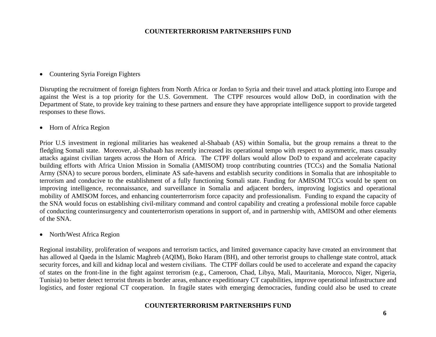#### • Countering Syria Foreign Fighters

Disrupting the recruitment of foreign fighters from North Africa or Jordan to Syria and their travel and attack plotting into Europe and against the West is a top priority for the U.S. Government. The CTPF resources would allow DoD, in coordination with the Department of State, to provide key training to these partners and ensure they have appropriate intelligence support to provide targeted responses to these flows.

• Horn of Africa Region

Prior U.S investment in regional militaries has weakened al-Shabaab (AS) within Somalia, but the group remains a threat to the fledgling Somali state. Moreover, al-Shabaab has recently increased its operational tempo with respect to asymmetric, mass casualty attacks against civilian targets across the Horn of Africa. The CTPF dollars would allow DoD to expand and accelerate capacity building efforts with Africa Union Mission in Somalia (AMISOM) troop contributing countries (TCCs) and the Somalia National Army (SNA) to secure porous borders, eliminate AS safe-havens and establish security conditions in Somalia that are inhospitable to terrorism and conducive to the establishment of a fully functioning Somali state. Funding for AMISOM TCCs would be spent on improving intelligence, reconnaissance, and surveillance in Somalia and adjacent borders, improving logistics and operational mobility of AMISOM forces, and enhancing counterterrorism force capacity and professionalism. Funding to expand the capacity of the SNA would focus on establishing civil-military command and control capability and creating a professional mobile force capable of conducting counterinsurgency and counterterrorism operations in support of, and in partnership with, AMISOM and other elements of the SNA.

• North/West Africa Region

Regional instability, proliferation of weapons and terrorism tactics, and limited governance capacity have created an environment that has allowed al Qaeda in the Islamic Maghreb (AQIM), Boko Haram (BH), and other terrorist groups to challenge state control, attack security forces, and kill and kidnap local and western civilians. The CTPF dollars could be used to accelerate and expand the capacity of states on the front-line in the fight against terrorism (e.g., Cameroon, Chad, Libya, Mali, Mauritania, Morocco, Niger, Nigeria, Tunisia) to better detect terrorist threats in border areas, enhance expeditionary CT capabilities, improve operational infrastructure and logistics, and foster regional CT cooperation. In fragile states with emerging democracies, funding could also be used to create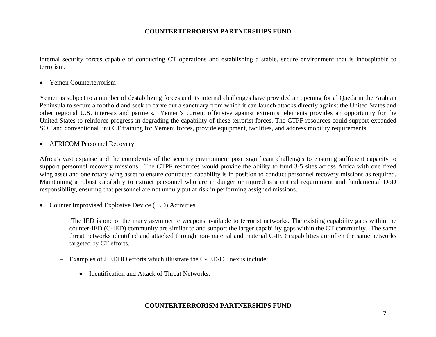internal security forces capable of conducting CT operations and establishing a stable, secure environment that is inhospitable to terrorism.

• Yemen Counterterrorism

Yemen is subject to a number of destabilizing forces and its internal challenges have provided an opening for al Qaeda in the Arabian Peninsula to secure a foothold and seek to carve out a sanctuary from which it can launch attacks directly against the United States and other regional U.S. interests and partners. Yemen's current offensive against extremist elements provides an opportunity for the United States to reinforce progress in degrading the capability of these terrorist forces. The CTPF resources could support expanded SOF and conventional unit CT training for Yemeni forces, provide equipment, facilities, and address mobility requirements.

AFRICOM Personnel Recovery

Africa's vast expanse and the complexity of the security environment pose significant challenges to ensuring sufficient capacity to support personnel recovery missions. The CTPF resources would provide the ability to fund 3-5 sites across Africa with one fixed wing asset and one rotary wing asset to ensure contracted capability is in position to conduct personnel recovery missions as required. Maintaining a robust capability to extract personnel who are in danger or injured is a critical requirement and fundamental DoD responsibility, ensuring that personnel are not unduly put at risk in performing assigned missions.

- Counter Improvised Explosive Device (IED) Activities
	- The IED is one of the many asymmetric weapons available to terrorist networks. The existing capability gaps within the counter-IED (C-IED) community are similar to and support the larger capability gaps within the CT community. The same threat networks identified and attacked through non-material and material C-IED capabilities are often the same networks targeted by CT efforts.
	- Examples of JIEDDO efforts which illustrate the C-IED/CT nexus include:
		- Identification and Attack of Threat Networks: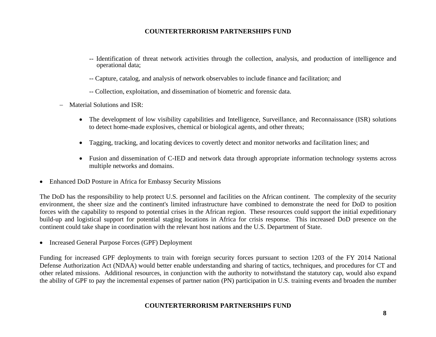- -- Identification of threat network activities through the collection, analysis, and production of intelligence and operational data;
- -- Capture, catalog, and analysis of network observables to include finance and facilitation; and
- -- Collection, exploitation, and dissemination of biometric and forensic data.
- Material Solutions and ISR:
	- The development of low visibility capabilities and Intelligence, Surveillance, and Reconnaissance (ISR) solutions to detect home-made explosives, chemical or biological agents, and other threats;
	- $\bullet$ Tagging, tracking, and locating devices to covertly detect and monitor networks and facilitation lines; and
	- Fusion and dissemination of C-IED and network data through appropriate information technology systems across multiple networks and domains.
- Enhanced DoD Posture in Africa for Embassy Security Missions

The DoD has the responsibility to help protect U.S. personnel and facilities on the African continent. The complexity of the security environment, the sheer size and the continent's limited infrastructure have combined to demonstrate the need for DoD to position forces with the capability to respond to potential crises in the African region. These resources could support the initial expeditionary build-up and logistical support for potential staging locations in Africa for crisis response. This increased DoD presence on the continent could take shape in coordination with the relevant host nations and the U.S. Department of State.

• Increased General Purpose Forces (GPF) Deployment

Funding for increased GPF deployments to train with foreign security forces pursuant to section 1203 of the FY 2014 National Defense Authorization Act (NDAA) would better enable understanding and sharing of tactics, techniques, and procedures for CT and other related missions. Additional resources, in conjunction with the authority to notwithstand the statutory cap, would also expand the ability of GPF to pay the incremental expenses of partner nation (PN) participation in U.S. training events and broaden the number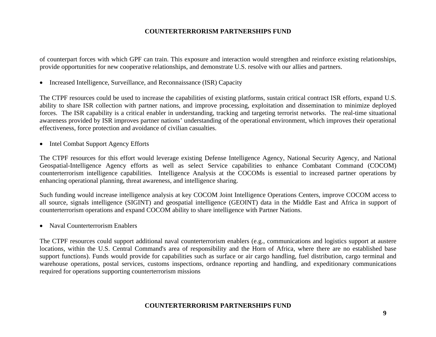of counterpart forces with which GPF can train. This exposure and interaction would strengthen and reinforce existing relationships, provide opportunities for new cooperative relationships, and demonstrate U.S. resolve with our allies and partners.

• Increased Intelligence, Surveillance, and Reconnaissance (ISR) Capacity

The CTPF resources could be used to increase the capabilities of existing platforms, sustain critical contract ISR efforts, expand U.S. ability to share ISR collection with partner nations, and improve processing, exploitation and dissemination to minimize deployed forces. The ISR capability is a critical enabler in understanding, tracking and targeting terrorist networks. The real-time situational awareness provided by ISR improves partner nations' understanding of the operational environment, which improves their operational effectiveness, force protection and avoidance of civilian casualties.

• Intel Combat Support Agency Efforts

The CTPF resources for this effort would leverage existing Defense Intelligence Agency, National Security Agency, and National Geospatial-Intelligence Agency efforts as well as select Service capabilities to enhance Combatant Command (COCOM) counterterrorism intelligence capabilities. Intelligence Analysis at the COCOMs is essential to increased partner operations by enhancing operational planning, threat awareness, and intelligence sharing.

Such funding would increase intelligence analysis at key COCOM Joint Intelligence Operations Centers, improve COCOM access to all source, signals intelligence (SIGINT) and geospatial intelligence (GEOINT) data in the Middle East and Africa in support of counterterrorism operations and expand COCOM ability to share intelligence with Partner Nations.

• Naval Counterterrorism Enablers

The CTPF resources could support additional naval counterterrorism enablers (e.g., communications and logistics support at austere locations, within the U.S. Central Command's area of responsibility and the Horn of Africa, where there are no established base support functions). Funds would provide for capabilities such as surface or air cargo handling, fuel distribution, cargo terminal and warehouse operations, postal services, customs inspections, ordnance reporting and handling, and expeditionary communications required for operations supporting counterterrorism missions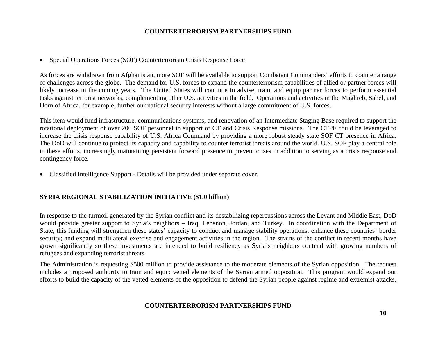• Special Operations Forces (SOF) Counterterrorism Crisis Response Force

As forces are withdrawn from Afghanistan, more SOF will be available to support Combatant Commanders' efforts to counter a range of challenges across the globe. The demand for U.S. forces to expand the counterterrorism capabilities of allied or partner forces will likely increase in the coming years. The United States will continue to advise, train, and equip partner forces to perform essential tasks against terrorist networks, complementing other U.S. activities in the field. Operations and activities in the Maghreb, Sahel, and Horn of Africa, for example, further our national security interests without a large commitment of U.S. forces.

This item would fund infrastructure, communications systems, and renovation of an Intermediate Staging Base required to support the rotational deployment of over 200 SOF personnel in support of CT and Crisis Response missions. The CTPF could be leveraged to increase the crisis response capability of U.S. Africa Command by providing a more robust steady state SOF CT presence in Africa. The DoD will continue to protect its capacity and capability to counter terrorist threats around the world. U.S. SOF play a central role in these efforts, increasingly maintaining persistent forward presence to prevent crises in addition to serving as a crisis response and contingency force.

Classified Intelligence Support - Details will be provided under separate cover.

# **SYRIA REGIONAL STABILIZATION INITIATIVE (\$1.0 billion)**

In response to the turmoil generated by the Syrian conflict and its destabilizing repercussions across the Levant and Middle East, DoD would provide greater support to Syria's neighbors – Iraq, Lebanon, Jordan, and Turkey. In coordination with the Department of State, this funding will strengthen these states' capacity to conduct and manage stability operations; enhance these countries' border security; and expand multilateral exercise and engagement activities in the region. The strains of the conflict in recent months have grown significantly so these investments are intended to build resiliency as Syria's neighbors contend with growing numbers of refugees and expanding terrorist threats.

The Administration is requesting \$500 million to provide assistance to the moderate elements of the Syrian opposition. The request includes a proposed authority to train and equip vetted elements of the Syrian armed opposition. This program would expand our efforts to build the capacity of the vetted elements of the opposition to defend the Syrian people against regime and extremist attacks,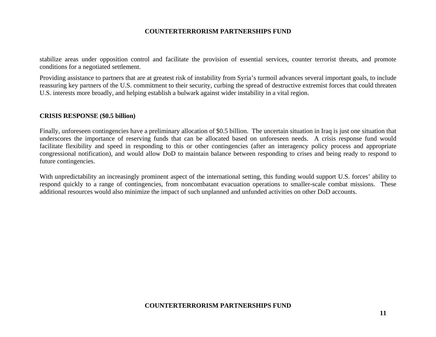stabilize areas under opposition control and facilitate the provision of essential services, counter terrorist threats, and promote conditions for a negotiated settlement.

Providing assistance to partners that are at greatest risk of instability from Syria's turmoil advances several important goals, to include reassuring key partners of the U.S. commitment to their security, curbing the spread of destructive extremist forces that could threaten U.S. interests more broadly, and helping establish a bulwark against wider instability in a vital region.

#### **CRISIS RESPONSE (\$0.5 billion)**

Finally, unforeseen contingencies have a preliminary allocation of \$0.5 billion. The uncertain situation in Iraq is just one situation that underscores the importance of reserving funds that can be allocated based on unforeseen needs. A crisis response fund would facilitate flexibility and speed in responding to this or other contingencies (after an interagency policy process and appropriate congressional notification), and would allow DoD to maintain balance between responding to crises and being ready to respond to future contingencies.

With unpredictability an increasingly prominent aspect of the international setting, this funding would support U.S. forces' ability to respond quickly to a range of contingencies, from noncombatant evacuation operations to smaller-scale combat missions. These additional resources would also minimize the impact of such unplanned and unfunded activities on other DoD accounts.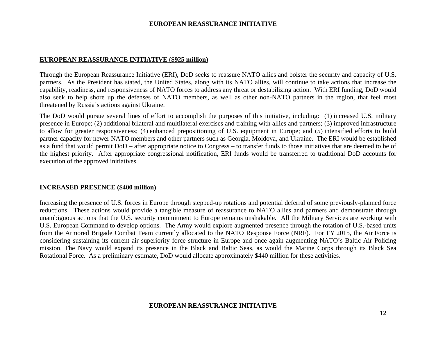#### **EUROPEAN REASSURANCE INITIATIVE (\$925 million)**

Through the European Reassurance Initiative (ERI), DoD seeks to reassure NATO allies and bolster the security and capacity of U.S. partners. As the President has stated, the United States, along with its NATO allies, will continue to take actions that increase the capability, readiness, and responsiveness of NATO forces to address any threat or destabilizing action. With ERI funding, DoD would also seek to help shore up the defenses of NATO members, as well as other non-NATO partners in the region, that feel most threatened by Russia's actions against Ukraine.

The DoD would pursue several lines of effort to accomplish the purposes of this initiative, including: (1) increased U.S. military presence in Europe; (2) additional bilateral and multilateral exercises and training with allies and partners; (3) improved infrastructure to allow for greater responsiveness; (4) enhanced prepositioning of U.S. equipment in Europe; and (5) intensified efforts to build partner capacity for newer NATO members and other partners such as Georgia, Moldova, and Ukraine. The ERI would be established as a fund that would permit DoD – after appropriate notice to Congress – to transfer funds to those initiatives that are deemed to be of the highest priority. After appropriate congressional notification, ERI funds would be transferred to traditional DoD accounts for execution of the approved initiatives.

### **INCREASED PRESENCE (\$400 million)**

Increasing the presence of U.S. forces in Europe through stepped-up rotations and potential deferral of some previously-planned force reductions. These actions would provide a tangible measure of reassurance to NATO allies and partners and demonstrate through unambiguous actions that the U.S. security commitment to Europe remains unshakable. All the Military Services are working with U.S. European Command to develop options. The Army would explore augmented presence through the rotation of U.S.-based units from the Armored Brigade Combat Team currently allocated to the NATO Response Force (NRF). For FY 2015, the Air Force is considering sustaining its current air superiority force structure in Europe and once again augmenting NATO's Baltic Air Policing mission. The Navy would expand its presence in the Black and Baltic Seas, as would the Marine Corps through its Black Sea Rotational Force. As a preliminary estimate, DoD would allocate approximately \$440 million for these activities.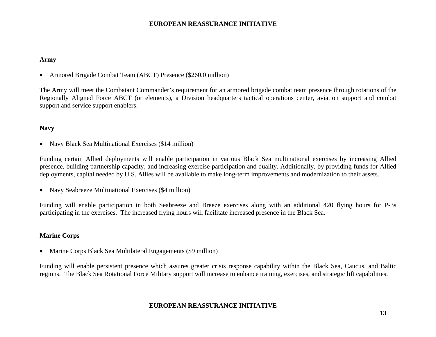#### **Army**

Armored Brigade Combat Team (ABCT) Presence (\$260.0 million)

The Army will meet the Combatant Commander's requirement for an armored brigade combat team presence through rotations of the Regionally Aligned Force ABCT (or elements), a Division headquarters tactical operations center, aviation support and combat support and service support enablers.

### **Navy**

• Navy Black Sea Multinational Exercises (\$14 million)

Funding certain Allied deployments will enable participation in various Black Sea multinational exercises by increasing Allied presence, building partnership capacity, and increasing exercise participation and quality. Additionally, by providing funds for Allied deployments, capital needed by U.S. Allies will be available to make long-term improvements and modernization to their assets.

• Navy Seabreeze Multinational Exercises (\$4 million)

Funding will enable participation in both Seabreeze and Breeze exercises along with an additional 420 flying hours for P-3s participating in the exercises. The increased flying hours will facilitate increased presence in the Black Sea.

### **Marine Corps**

• Marine Corps Black Sea Multilateral Engagements (\$9 million)

Funding will enable persistent presence which assures greater crisis response capability within the Black Sea, Caucus, and Baltic regions. The Black Sea Rotational Force Military support will increase to enhance training, exercises, and strategic lift capabilities.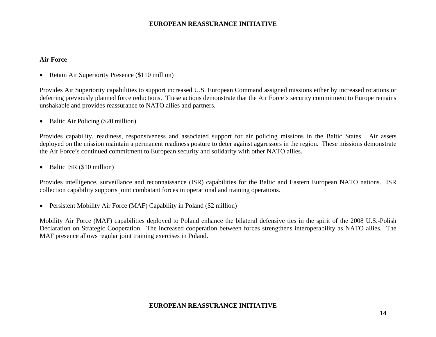#### **Air Force**

• Retain Air Superiority Presence (\$110 million)

Provides Air Superiority capabilities to support increased U.S. European Command assigned missions either by increased rotations or deferring previously planned force reductions. These actions demonstrate that the Air Force's security commitment to Europe remains unshakable and provides reassurance to NATO allies and partners.

• Baltic Air Policing (\$20 million)

Provides capability, readiness, responsiveness and associated support for air policing missions in the Baltic States. Air assets deployed on the mission maintain a permanent readiness posture to deter against aggressors in the region. These missions demonstrate the Air Force's continued commitment to European security and solidarity with other NATO allies.

• Baltic ISR (\$10 million)

Provides intelligence, surveillance and reconnaissance (ISR) capabilities for the Baltic and Eastern European NATO nations. ISR collection capability supports joint combatant forces in operational and training operations.

• Persistent Mobility Air Force (MAF) Capability in Poland (\$2 million)

Mobility Air Force (MAF) capabilities deployed to Poland enhance the bilateral defensive ties in the spirit of the 2008 U.S.-Polish Declaration on Strategic Cooperation. The increased cooperation between forces strengthens interoperability as NATO allies. The MAF presence allows regular joint training exercises in Poland.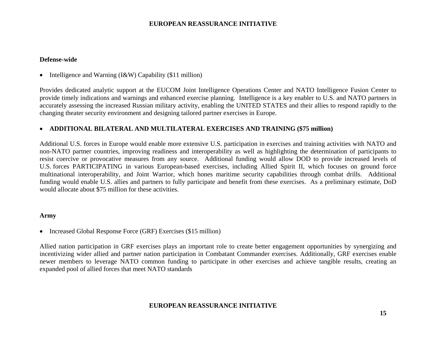#### **Defense-wide**

• Intelligence and Warning  $(I\&W)$  Capability (\$11 million)

Provides dedicated analytic support at the EUCOM Joint Intelligence Operations Center and NATO Intelligence Fusion Center to provide timely indications and warnings and enhanced exercise planning. Intelligence is a key enabler to U.S. and NATO partners in accurately assessing the increased Russian military activity, enabling the UNITED STATES and their allies to respond rapidly to the changing theater security environment and designing tailored partner exercises in Europe.

# **ADDITIONAL BILATERAL AND MULTILATERAL EXERCISES AND TRAINING (\$75 million)**

Additional U.S. forces in Europe would enable more extensive U.S. participation in exercises and training activities with NATO and non-NATO partner countries, improving readiness and interoperability as well as highlighting the determination of participants to resist coercive or provocative measures from any source. Additional funding would allow DOD to provide increased levels of U.S. forces PARTICIPATING in various European-based exercises, including Allied Spirit II, which focuses on ground force multinational interoperability, and Joint Warrior, which hones maritime security capabilities through combat drills. Additional funding would enable U.S. allies and partners to fully participate and benefit from these exercises. As a preliminary estimate, DoD would allocate about \$75 million for these activities.

### **Army**

• Increased Global Response Force (GRF) Exercises (\$15 million)

Allied nation participation in GRF exercises plays an important role to create better engagement opportunities by synergizing and incentivizing wider allied and partner nation participation in Combatant Commander exercises. Additionally, GRF exercises enable newer members to leverage NATO common funding to participate in other exercises and achieve tangible results, creating an expanded pool of allied forces that meet NATO standards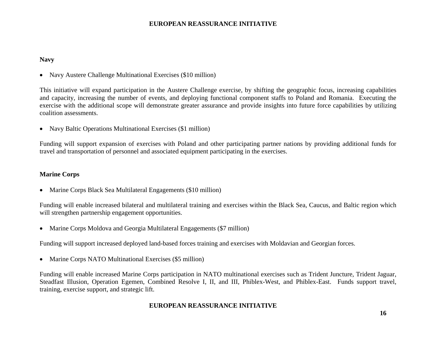#### **Navy**

Navy Austere Challenge Multinational Exercises (\$10 million)

This initiative will expand participation in the Austere Challenge exercise, by shifting the geographic focus, increasing capabilities and capacity, increasing the number of events, and deploying functional component staffs to Poland and Romania. Executing the exercise with the additional scope will demonstrate greater assurance and provide insights into future force capabilities by utilizing coalition assessments.

• Navy Baltic Operations Multinational Exercises (\$1 million)

Funding will support expansion of exercises with Poland and other participating partner nations by providing additional funds for travel and transportation of personnel and associated equipment participating in the exercises.

### **Marine Corps**

Marine Corps Black Sea Multilateral Engagements (\$10 million)

Funding will enable increased bilateral and multilateral training and exercises within the Black Sea, Caucus, and Baltic region which will strengthen partnership engagement opportunities.

Marine Corps Moldova and Georgia Multilateral Engagements (\$7 million)

Funding will support increased deployed land-based forces training and exercises with Moldavian and Georgian forces.

• Marine Corps NATO Multinational Exercises (\$5 million)

Funding will enable increased Marine Corps participation in NATO multinational exercises such as Trident Juncture, Trident Jaguar, Steadfast Illusion, Operation Egemen, Combined Resolve I, II, and III, Phiblex-West, and Phiblex-East. Funds support travel, training, exercise support, and strategic lift.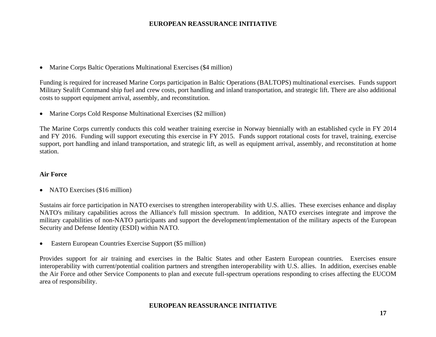Marine Corps Baltic Operations Multinational Exercises (\$4 million)

Funding is required for increased Marine Corps participation in Baltic Operations (BALTOPS) multinational exercises. Funds support Military Sealift Command ship fuel and crew costs, port handling and inland transportation, and strategic lift. There are also additional costs to support equipment arrival, assembly, and reconstitution.

Marine Corps Cold Response Multinational Exercises (\$2 million)

The Marine Corps currently conducts this cold weather training exercise in Norway biennially with an established cycle in FY 2014 and FY 2016. Funding will support executing this exercise in FY 2015. Funds support rotational costs for travel, training, exercise support, port handling and inland transportation, and strategic lift, as well as equipment arrival, assembly, and reconstitution at home station.

### **Air Force**

• NATO Exercises (\$16 million)

Sustains air force participation in NATO exercises to strengthen interoperability with U.S. allies. These exercises enhance and display NATO's military capabilities across the Alliance's full mission spectrum. In addition, NATO exercises integrate and improve the military capabilities of non-NATO participants and support the development/implementation of the military aspects of the European Security and Defense Identity (ESDI) within NATO.

Eastern European Countries Exercise Support (\$5 million)

Provides support for air training and exercises in the Baltic States and other Eastern European countries. Exercises ensure interoperability with current/potential coalition partners and strengthen interoperability with U.S. allies. In addition, exercises enable the Air Force and other Service Components to plan and execute full-spectrum operations responding to crises affecting the EUCOM area of responsibility.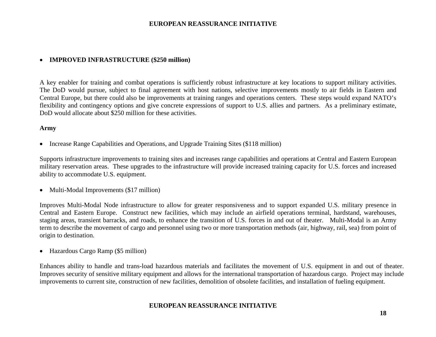# **IMPROVED INFRASTRUCTURE (\$250 million)**

A key enabler for training and combat operations is sufficiently robust infrastructure at key locations to support military activities. The DoD would pursue, subject to final agreement with host nations, selective improvements mostly to air fields in Eastern and Central Europe, but there could also be improvements at training ranges and operations centers. These steps would expand NATO's flexibility and contingency options and give concrete expressions of support to U.S. allies and partners. As a preliminary estimate, DoD would allocate about \$250 million for these activities.

#### **Army**

• Increase Range Capabilities and Operations, and Upgrade Training Sites (\$118 million)

Supports infrastructure improvements to training sites and increases range capabilities and operations at Central and Eastern European military reservation areas. These upgrades to the infrastructure will provide increased training capacity for U.S. forces and increased ability to accommodate U.S. equipment.

• Multi-Modal Improvements (\$17 million)

Improves Multi-Modal Node infrastructure to allow for greater responsiveness and to support expanded U.S. military presence in Central and Eastern Europe. Construct new facilities, which may include an airfield operations terminal, hardstand, warehouses, staging areas, transient barracks, and roads, to enhance the transition of U.S. forces in and out of theater. Multi-Modal is an Army term to describe the movement of cargo and personnel using two or more transportation methods (air, highway, rail, sea) from point of origin to destination.

Hazardous Cargo Ramp (\$5 million)

Enhances ability to handle and trans-load hazardous materials and facilitates the movement of U.S. equipment in and out of theater. Improves security of sensitive military equipment and allows for the international transportation of hazardous cargo. Project may include improvements to current site, construction of new facilities, demolition of obsolete facilities, and installation of fueling equipment.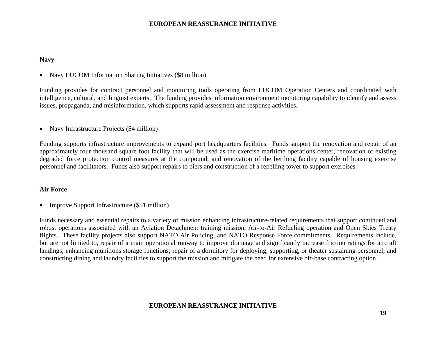#### **Navy**

• Navy EUCOM Information Sharing Initiatives (\$8 million)

Funding provides for contract personnel and monitoring tools operating from EUCOM Operation Centers and coordinated with intelligence, cultural, and linguist experts. The funding provides information environment monitoring capability to identify and assess issues, propaganda, and misinformation, which supports rapid assessment and response activities.

• Navy Infrastructure Projects (\$4 million)

Funding supports infrastructure improvements to expand port headquarters facilities. Funds support the renovation and repair of an approximately four thousand square foot facility that will be used as the exercise maritime operations center, renovation of existing degraded force protection control measures at the compound, and renovation of the berthing facility capable of housing exercise personnel and facilitators. Funds also support repairs to piers and construction of a repelling tower to support exercises.

#### **Air Force**

• Improve Support Infrastructure (\$51 million)

Funds necessary and essential repairs to a variety of mission enhancing infrastructure-related requirements that support continued and robust operations associated with an Aviation Detachment training mission, Air-to-Air Refueling operation and Open Skies Treaty flights. These facility projects also support NATO Air Policing, and NATO Response Force commitments. Requirements include, but are not limited to, repair of a main operational runway to improve drainage and significantly increase friction ratings for aircraft landings; enhancing munitions storage functions; repair of a dormitory for deploying, supporting, or theater sustaining personnel; and constructing dining and laundry facilities to support the mission and mitigate the need for extensive off-base contracting option.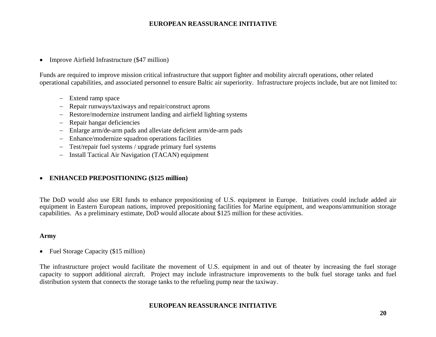• Improve Airfield Infrastructure (\$47 million)

Funds are required to improve mission critical infrastructure that support fighter and mobility aircraft operations, other related operational capabilities, and associated personnel to ensure Baltic air superiority. Infrastructure projects include, but are not limited to:

- Extend ramp space
- $\equiv$  . Repair runways/taxiways and repair/construct aprons
- Restore/modernize instrument landing and airfield lighting systems
- $\equiv$ Repair hangar deficiencies
- $\,$ Enlarge arm/de-arm pads and alleviate deficient arm/de-arm pads
- $\equiv$ Enhance/modernize squadron operations facilities
- Test/repair fuel systems / upgrade primary fuel systems
- Install Tactical Air Navigation (TACAN) equipment

### **ENHANCED PREPOSITIONING (\$125 million)**

The DoD would also use ERI funds to enhance prepositioning of U.S. equipment in Europe. Initiatives could include added air equipment in Eastern European nations, improved prepositioning facilities for Marine equipment, and weapons/ammunition storage capabilities. As a preliminary estimate, DoD would allocate about \$125 million for these activities.

#### **Army**

• Fuel Storage Capacity (\$15 million)

The infrastructure project would facilitate the movement of U.S. equipment in and out of theater by increasing the fuel storage capacity to support additional aircraft. Project may include infrastructure improvements to the bulk fuel storage tanks and fuel distribution system that connects the storage tanks to the refueling pump near the taxiway.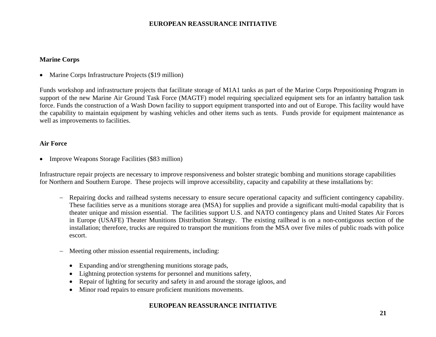# **Marine Corps**

• Marine Corps Infrastructure Projects (\$19 million)

Funds workshop and infrastructure projects that facilitate storage of M1A1 tanks as part of the Marine Corps Prepositioning Program in support of the new Marine Air Ground Task Force (MAGTF) model requiring specialized equipment sets for an infantry battalion task force. Funds the construction of a Wash Down facility to support equipment transported into and out of Europe. This facility would have the capability to maintain equipment by washing vehicles and other items such as tents. Funds provide for equipment maintenance as well as improvements to facilities.

# **Air Force**

• Improve Weapons Storage Facilities (\$83 million)

Infrastructure repair projects are necessary to improve responsiveness and bolster strategic bombing and munitions storage capabilities for Northern and Southern Europe. These projects will improve accessibility, capacity and capability at these installations by:

- Repairing docks and railhead systems necessary to ensure secure operational capacity and sufficient contingency capability. These facilities serve as a munitions storage area (MSA) for supplies and provide a significant multi-modal capability that is theater unique and mission essential. The facilities support U.S. and NATO contingency plans and United States Air Forces in Europe (USAFE) Theater Munitions Distribution Strategy. The existing railhead is on a non-contiguous section of the installation; therefore, trucks are required to transport the munitions from the MSA over five miles of public roads with police escort.
- $\overline{\phantom{0}}$  Meeting other mission essential requirements, including:
	- Expanding and/or strengthening munitions storage pads,
	- Lightning protection systems for personnel and munitions safety,
	- $\bullet$ Repair of lighting for security and safety in and around the storage igloos, and
	- $\bullet$ Minor road repairs to ensure proficient munitions movements.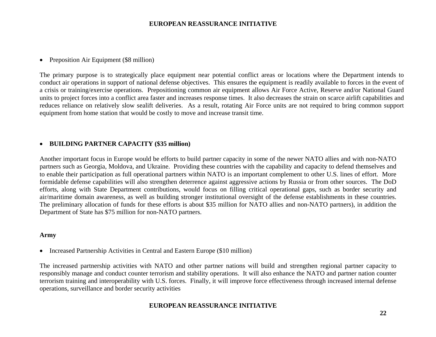• Preposition Air Equipment (\$8 million)

The primary purpose is to strategically place equipment near potential conflict areas or locations where the Department intends to conduct air operations in support of national defense objectives. This ensures the equipment is readily available to forces in the event of a crisis or training/exercise operations. Prepositioning common air equipment allows Air Force Active, Reserve and/or National Guard units to project forces into a conflict area faster and increases response times. It also decreases the strain on scarce airlift capabilities and reduces reliance on relatively slow sealift deliveries. As a result, rotating Air Force units are not required to bring common support equipment from home station that would be costly to move and increase transit time.

# **BUILDING PARTNER CAPACITY (\$35 million)**

Another important focus in Europe would be efforts to build partner capacity in some of the newer NATO allies and with non-NATO partners such as Georgia, Moldova, and Ukraine. Providing these countries with the capability and capacity to defend themselves and to enable their participation as full operational partners within NATO is an important complement to other U.S. lines of effort. More formidable defense capabilities will also strengthen deterrence against aggressive actions by Russia or from other sources. The DoD efforts, along with State Department contributions, would focus on filling critical operational gaps, such as border security and air/maritime domain awareness, as well as building stronger institutional oversight of the defense establishments in these countries. The preliminary allocation of funds for these efforts is about \$35 million for NATO allies and non-NATO partners), in addition the Department of State has \$75 million for non-NATO partners.

#### **Army**

• Increased Partnership Activities in Central and Eastern Europe (\$10 million)

The increased partnership activities with NATO and other partner nations will build and strengthen regional partner capacity to responsibly manage and conduct counter terrorism and stability operations. It will also enhance the NATO and partner nation counter terrorism training and interoperability with U.S. forces. Finally, it will improve force effectiveness through increased internal defense operations, surveillance and border security activities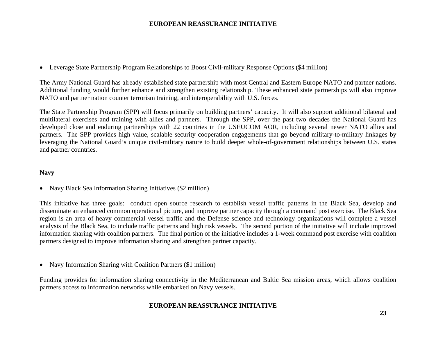Leverage State Partnership Program Relationships to Boost Civil-military Response Options (\$4 million)

The Army National Guard has already established state partnership with most Central and Eastern Europe NATO and partner nations. Additional funding would further enhance and strengthen existing relationship. These enhanced state partnerships will also improve NATO and partner nation counter terrorism training, and interoperability with U.S. forces.

The State Partnership Program (SPP) will focus primarily on building partners' capacity. It will also support additional bilateral and multilateral exercises and training with allies and partners. Through the SPP, over the past two decades the National Guard has developed close and enduring partnerships with 22 countries in the USEUCOM AOR, including several newer NATO allies and partners. The SPP provides high value, scalable security cooperation engagements that go beyond military-to-military linkages by leveraging the National Guard's unique civil-military nature to build deeper whole-of-government relationships between U.S. states and partner countries.

# **Navy**

• Navy Black Sea Information Sharing Initiatives (\$2 million)

This initiative has three goals: conduct open source research to establish vessel traffic patterns in the Black Sea, develop and disseminate an enhanced common operational picture, and improve partner capacity through a command post exercise. The Black Sea region is an area of heavy commercial vessel traffic and the Defense science and technology organizations will complete a vessel analysis of the Black Sea, to include traffic patterns and high risk vessels. The second portion of the initiative will include improved information sharing with coalition partners. The final portion of the initiative includes a 1-week command post exercise with coalition partners designed to improve information sharing and strengthen partner capacity.

• Navy Information Sharing with Coalition Partners (\$1 million)

Funding provides for information sharing connectivity in the Mediterranean and Baltic Sea mission areas, which allows coalition partners access to information networks while embarked on Navy vessels.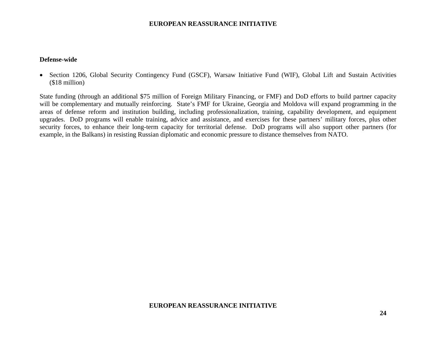#### **Defense-wide**

 Section 1206, Global Security Contingency Fund (GSCF), Warsaw Initiative Fund (WIF), Global Lift and Sustain Activities (\$18 million)

State funding (through an additional \$75 million of Foreign Military Financing, or FMF) and DoD efforts to build partner capacity will be complementary and mutually reinforcing. State's FMF for Ukraine, Georgia and Moldova will expand programming in the areas of defense reform and institution building, including professionalization, training, capability development, and equipment upgrades. DoD programs will enable training, advice and assistance, and exercises for these partners' military forces, plus other security forces, to enhance their long-term capacity for territorial defense. DoD programs will also support other partners (for example, in the Balkans) in resisting Russian diplomatic and economic pressure to distance themselves from NATO.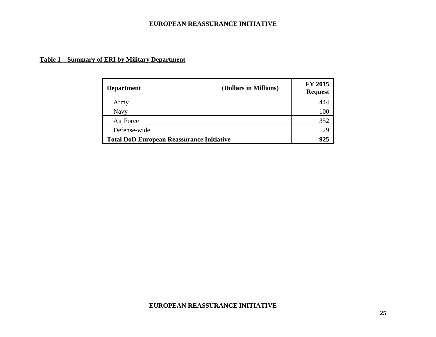# **Table 1 – Summary of ERI by Military Department**

| <b>Department</b>                                | (Dollars in Millions) | <b>FY 2015</b><br><b>Request</b> |
|--------------------------------------------------|-----------------------|----------------------------------|
| Army                                             |                       | 444                              |
| <b>Navy</b>                                      |                       | 100                              |
| Air Force                                        |                       | 352                              |
| Defense-wide                                     |                       | 29                               |
| <b>Total DoD European Reassurance Initiative</b> | 925                   |                                  |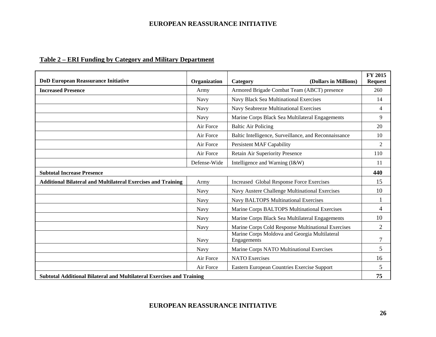|  | Table 2 – ERI Funding by Category and Military Department |  |  |  |
|--|-----------------------------------------------------------|--|--|--|
|--|-----------------------------------------------------------|--|--|--|

| <b>DoD European Reassurance Initiative</b>                                   | Organization | (Dollars in Millions)<br>Category                            | FY 2015<br><b>Request</b> |
|------------------------------------------------------------------------------|--------------|--------------------------------------------------------------|---------------------------|
| <b>Increased Presence</b>                                                    | Army         | Armored Brigade Combat Team (ABCT) presence                  | 260                       |
|                                                                              | Navy         | Navy Black Sea Multinational Exercises                       | 14                        |
|                                                                              | Navy         | Navy Seabreeze Multinational Exercises                       | $\overline{4}$            |
|                                                                              | Navy         | Marine Corps Black Sea Multilateral Engagements              | 9                         |
|                                                                              | Air Force    | <b>Baltic Air Policing</b>                                   | 20                        |
|                                                                              | Air Force    | Baltic Intelligence, Surveillance, and Reconnaissance        | 10                        |
|                                                                              | Air Force    | <b>Persistent MAF Capability</b>                             | $\overline{2}$            |
|                                                                              | Air Force    | Retain Air Superiority Presence                              | 110                       |
|                                                                              | Defense-Wide | Intelligence and Warning (I&W)                               | 11                        |
| <b>Subtotal Increase Presence</b>                                            |              |                                                              | 440                       |
| <b>Additional Bilateral and Multilateral Exercises and Training</b>          | Army         | <b>Increased Global Response Force Exercises</b>             | 15                        |
|                                                                              | Navy         | Navy Austere Challenge Multinational Exercises               | 10                        |
|                                                                              | Navy         | <b>Navy BALTOPS Multinational Exercises</b>                  |                           |
|                                                                              | Navy         | Marine Corps BALTOPS Multinational Exercises                 | 4                         |
|                                                                              | Navy         | Marine Corps Black Sea Multilateral Engagements              | 10                        |
|                                                                              | <b>Navy</b>  | Marine Corps Cold Response Multinational Exercises           | $\overline{2}$            |
|                                                                              | Navy         | Marine Corps Moldova and Georgia Multilateral<br>Engagements | $\overline{7}$            |
|                                                                              | <b>Navy</b>  | Marine Corps NATO Multinational Exercises                    | 5                         |
|                                                                              | Air Force    | <b>NATO</b> Exercises                                        | 16                        |
|                                                                              | Air Force    | Eastern European Countries Exercise Support                  | 5                         |
| <b>Subtotal Additional Bilateral and Multilateral Exercises and Training</b> |              |                                                              | 75                        |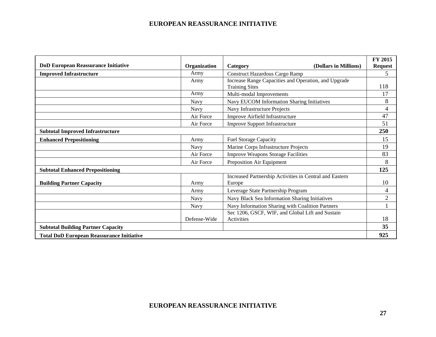| <b>DoD European Reassurance Initiative</b>       | Organization | (Dollars in Millions)<br>Category                                             | FY 2015<br><b>Request</b> |  |
|--------------------------------------------------|--------------|-------------------------------------------------------------------------------|---------------------------|--|
| <b>Improved Infrastructure</b>                   | Army         | Construct Hazardous Cargo Ramp                                                | 5                         |  |
|                                                  | Army         | Increase Range Capacities and Operation, and Upgrade<br><b>Training Sites</b> | 118                       |  |
|                                                  | Army         | Multi-modal Improvements                                                      | 17                        |  |
|                                                  | Navy         | Navy EUCOM Information Sharing Initiatives                                    | 8                         |  |
|                                                  | Navy         | Navy Infrastructure Projects                                                  | $\overline{4}$            |  |
|                                                  | Air Force    | Improve Airfield Infrastructure                                               | 47                        |  |
|                                                  | Air Force    | <b>Improve Support Infrastructure</b>                                         | 51                        |  |
| <b>Subtotal Improved Infrastructure</b>          |              |                                                                               |                           |  |
| <b>Enhanced Prepositioning</b>                   | Army         | <b>Fuel Storage Capacity</b>                                                  | 15                        |  |
|                                                  | <b>Navy</b>  | Marine Corps Infrastructure Projects                                          | 19                        |  |
|                                                  | Air Force    | <b>Improve Weapons Storage Facilities</b>                                     | 83                        |  |
|                                                  | Air Force    | Preposition Air Equipment                                                     | 8                         |  |
| <b>Subtotal Enhanced Prepositioning</b>          |              |                                                                               | 125                       |  |
| <b>Building Partner Capacity</b>                 | Army         | Increased Partnership Activities in Central and Eastern<br>Europe             | 10                        |  |
|                                                  | Army         | Leverage State Partnership Program                                            | 4                         |  |
|                                                  | <b>Navy</b>  | Navy Black Sea Information Sharing Initiatives                                | $\mathfrak{2}$            |  |
|                                                  | <b>Navy</b>  | Navy Information Sharing with Coalition Partners                              |                           |  |
|                                                  | Defense-Wide | Sec 1206, GSCF, WIF, and Global Lift and Sustain<br>Activities                | 18                        |  |
| <b>Subtotal Building Partner Capacity</b>        |              |                                                                               | 35                        |  |
| <b>Total DoD European Reassurance Initiative</b> |              |                                                                               | 925                       |  |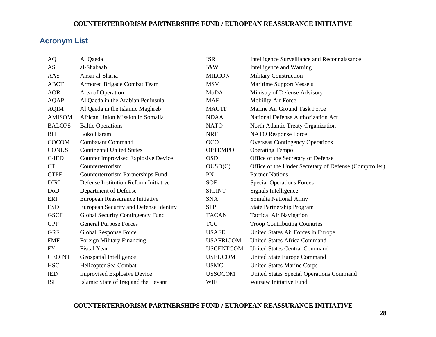#### **COUNTERTERRORISM PARTNERSHIPS FUND / EUROPEAN REASSURANCE INITIATIVE**

# **Acronym List**

| AQ            | Al Qaeda                                   | <b>ISR</b>       | Intelligence Surveillance and Reconnaissance           |
|---------------|--------------------------------------------|------------------|--------------------------------------------------------|
| AS            | al-Shabaab                                 | I&W              | Intelligence and Warning                               |
| AAS           | Ansar al-Sharia                            | <b>MILCON</b>    | <b>Military Construction</b>                           |
| <b>ABCT</b>   | Armored Brigade Combat Team                | <b>MSV</b>       | <b>Maritime Support Vessels</b>                        |
| <b>AOR</b>    | Area of Operation                          | <b>MoDA</b>      | Ministry of Defense Advisory                           |
| <b>AQAP</b>   | Al Qaeda in the Arabian Peninsula          | <b>MAF</b>       | <b>Mobility Air Force</b>                              |
| <b>AQIM</b>   | Al Qaeda in the Islamic Maghreb            | <b>MAGTF</b>     | Marine Air Ground Task Force                           |
| <b>AMISOM</b> | African Union Mission in Somalia           | <b>NDAA</b>      | National Defense Authorization Act                     |
| <b>BALOPS</b> | <b>Baltic Operations</b>                   | <b>NATO</b>      | North Atlantic Treaty Organization                     |
| <b>BH</b>     | <b>Boko Haram</b>                          | <b>NRF</b>       | NATO Response Force                                    |
| <b>COCOM</b>  | <b>Combatant Command</b>                   | <b>OCO</b>       | <b>Overseas Contingency Operations</b>                 |
| <b>CONUS</b>  | <b>Continental United States</b>           | <b>OPTEMPO</b>   | <b>Operating Tempo</b>                                 |
| C-IED         | <b>Counter Improvised Explosive Device</b> | <b>OSD</b>       | Office of the Secretary of Defense                     |
| CT            | Counterterrorism                           | OUSD(C)          | Office of the Under Secretary of Defense (Comptroller) |
| <b>CTPF</b>   | Counterterrorism Partnerships Fund         | <b>PN</b>        | <b>Partner Nations</b>                                 |
| <b>DIRI</b>   | Defense Institution Reform Initiative      | <b>SOF</b>       | <b>Special Operations Forces</b>                       |
| DoD           | Department of Defense                      | <b>SIGINT</b>    | Signals Intelligence                                   |
| ERI           | European Reassurance Initiative            | <b>SNA</b>       | Somalia National Army                                  |
| <b>ESDI</b>   | European Security and Defense Identity     | <b>SPP</b>       | <b>State Partnership Program</b>                       |
| <b>GSCF</b>   | Global Security Contingency Fund           | <b>TACAN</b>     | <b>Tactical Air Navigation</b>                         |
| <b>GPF</b>    | <b>General Purpose Forces</b>              | <b>TCC</b>       | <b>Troop Contributing Countries</b>                    |
| <b>GRF</b>    | Global Response Force                      | <b>USAFE</b>     | United States Air Forces in Europe                     |
| <b>FMF</b>    | Foreign Military Financing                 | <b>USAFRICOM</b> | <b>United States Africa Command</b>                    |
| <b>FY</b>     | <b>Fiscal Year</b>                         | <b>USCENTCOM</b> | <b>United States Central Command</b>                   |
| <b>GEOINT</b> | Geospatial Intelligence                    | <b>USEUCOM</b>   | United State Europe Command                            |
| <b>HSC</b>    | Helicopter Sea Combat                      | <b>USMC</b>      | <b>United States Marine Corps</b>                      |
| <b>IED</b>    | <b>Improvised Explosive Device</b>         | <b>USSOCOM</b>   | <b>United States Special Operations Command</b>        |
| <b>ISIL</b>   | Islamic State of Iraq and the Levant       | WIF              | Warsaw Initiative Fund                                 |

### **COUNTERTERRORISM PARTNERSHIPS FUND / EUROPEAN REASSURANCE INITIATIVE**